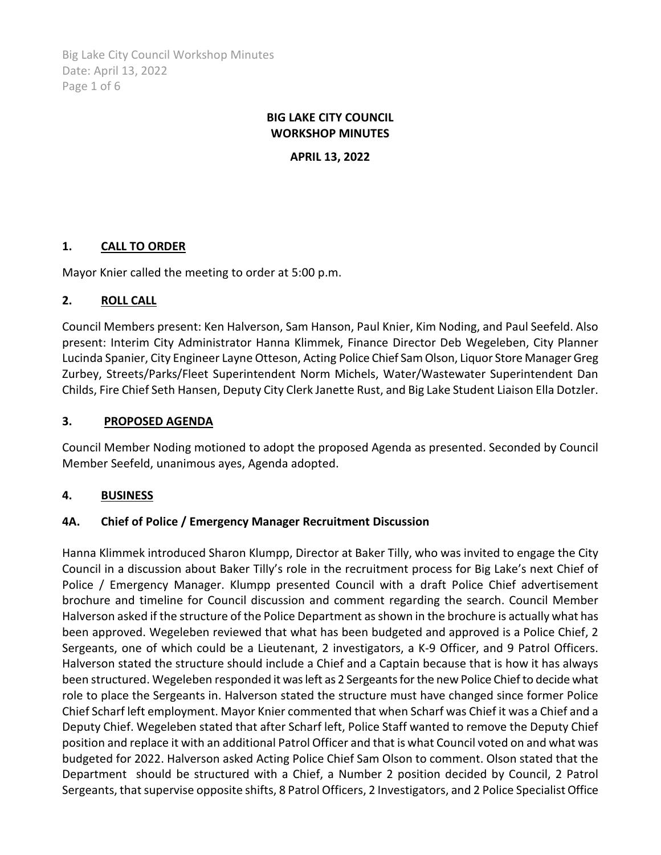Big Lake City Council Workshop Minutes Date: April 13, 2022 Page 1 of 6

# **BIG LAKE CITY COUNCIL WORKSHOP MINUTES**

**APRIL 13, 2022**

## **1. CALL TO ORDER**

Mayor Knier called the meeting to order at 5:00 p.m.

## **2. ROLL CALL**

Council Members present: Ken Halverson, Sam Hanson, Paul Knier, Kim Noding, and Paul Seefeld. Also present: Interim City Administrator Hanna Klimmek, Finance Director Deb Wegeleben, City Planner Lucinda Spanier, City Engineer Layne Otteson, Acting Police Chief Sam Olson, Liquor Store Manager Greg Zurbey, Streets/Parks/Fleet Superintendent Norm Michels, Water/Wastewater Superintendent Dan Childs, Fire Chief Seth Hansen, Deputy City Clerk Janette Rust, and Big Lake Student Liaison Ella Dotzler.

#### **3. PROPOSED AGENDA**

Council Member Noding motioned to adopt the proposed Agenda as presented. Seconded by Council Member Seefeld, unanimous ayes, Agenda adopted.

## **4. BUSINESS**

#### **4A. Chief of Police / Emergency Manager Recruitment Discussion**

Hanna Klimmek introduced Sharon Klumpp, Director at Baker Tilly, who was invited to engage the City Council in a discussion about Baker Tilly's role in the recruitment process for Big Lake's next Chief of Police / Emergency Manager. Klumpp presented Council with a draft Police Chief advertisement brochure and timeline for Council discussion and comment regarding the search. Council Member Halverson asked if the structure of the Police Department as shown in the brochure is actually what has been approved. Wegeleben reviewed that what has been budgeted and approved is a Police Chief, 2 Sergeants, one of which could be a Lieutenant, 2 investigators, a K-9 Officer, and 9 Patrol Officers. Halverson stated the structure should include a Chief and a Captain because that is how it has always been structured. Wegeleben responded it was left as 2 Sergeants for the new Police Chief to decide what role to place the Sergeants in. Halverson stated the structure must have changed since former Police Chief Scharf left employment. Mayor Knier commented that when Scharf was Chief it was a Chief and a Deputy Chief. Wegeleben stated that after Scharf left, Police Staff wanted to remove the Deputy Chief position and replace it with an additional Patrol Officer and that is what Council voted on and what was budgeted for 2022. Halverson asked Acting Police Chief Sam Olson to comment. Olson stated that the Department should be structured with a Chief, a Number 2 position decided by Council, 2 Patrol Sergeants, that supervise opposite shifts, 8 Patrol Officers, 2 Investigators, and 2 Police Specialist Office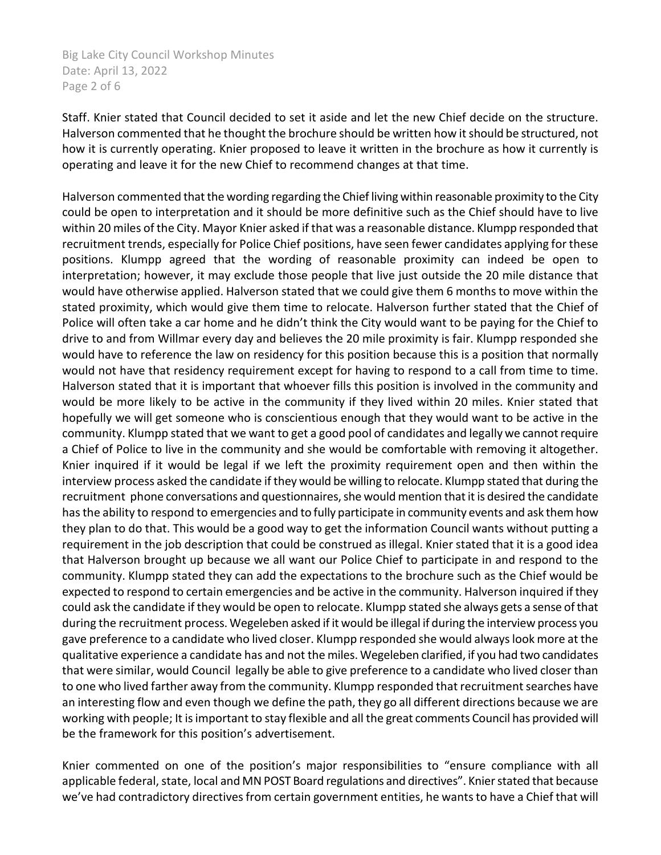Big Lake City Council Workshop Minutes Date: April 13, 2022 Page 2 of 6

Staff. Knier stated that Council decided to set it aside and let the new Chief decide on the structure. Halverson commented that he thought the brochure should be written how it should be structured, not how it is currently operating. Knier proposed to leave it written in the brochure as how it currently is operating and leave it for the new Chief to recommend changes at that time.

Halverson commented that the wording regarding the Chief living within reasonable proximity to the City could be open to interpretation and it should be more definitive such as the Chief should have to live within 20 miles of the City. Mayor Knier asked if that was a reasonable distance. Klumpp responded that recruitment trends, especially for Police Chief positions, have seen fewer candidates applying for these positions. Klumpp agreed that the wording of reasonable proximity can indeed be open to interpretation; however, it may exclude those people that live just outside the 20 mile distance that would have otherwise applied. Halverson stated that we could give them 6 months to move within the stated proximity, which would give them time to relocate. Halverson further stated that the Chief of Police will often take a car home and he didn't think the City would want to be paying for the Chief to drive to and from Willmar every day and believes the 20 mile proximity is fair. Klumpp responded she would have to reference the law on residency for this position because this is a position that normally would not have that residency requirement except for having to respond to a call from time to time. Halverson stated that it is important that whoever fills this position is involved in the community and would be more likely to be active in the community if they lived within 20 miles. Knier stated that hopefully we will get someone who is conscientious enough that they would want to be active in the community. Klumpp stated that we want to get a good pool of candidates and legally we cannot require a Chief of Police to live in the community and she would be comfortable with removing it altogether. Knier inquired if it would be legal if we left the proximity requirement open and then within the interview process asked the candidate if they would be willing to relocate. Klumpp stated that during the recruitment phone conversations and questionnaires, she would mention that it is desired the candidate has the ability to respond to emergencies and to fully participate in community events and ask them how they plan to do that. This would be a good way to get the information Council wants without putting a requirement in the job description that could be construed as illegal. Knier stated that it is a good idea that Halverson brought up because we all want our Police Chief to participate in and respond to the community. Klumpp stated they can add the expectations to the brochure such as the Chief would be expected to respond to certain emergencies and be active in the community. Halverson inquired if they could ask the candidate if they would be open to relocate. Klumpp stated she always gets a sense of that during the recruitment process. Wegeleben asked if it would be illegal if during the interview process you gave preference to a candidate who lived closer. Klumpp responded she would always look more at the qualitative experience a candidate has and not the miles. Wegeleben clarified, if you had two candidates that were similar, would Council legally be able to give preference to a candidate who lived closer than to one who lived farther away from the community. Klumpp responded that recruitment searches have an interesting flow and even though we define the path, they go all different directions because we are working with people; It isimportant to stay flexible and all the great comments Council has provided will be the framework for this position's advertisement.

Knier commented on one of the position's major responsibilities to "ensure compliance with all applicable federal, state, local and MN POST Board regulations and directives". Knier stated that because we've had contradictory directives from certain government entities, he wants to have a Chief that will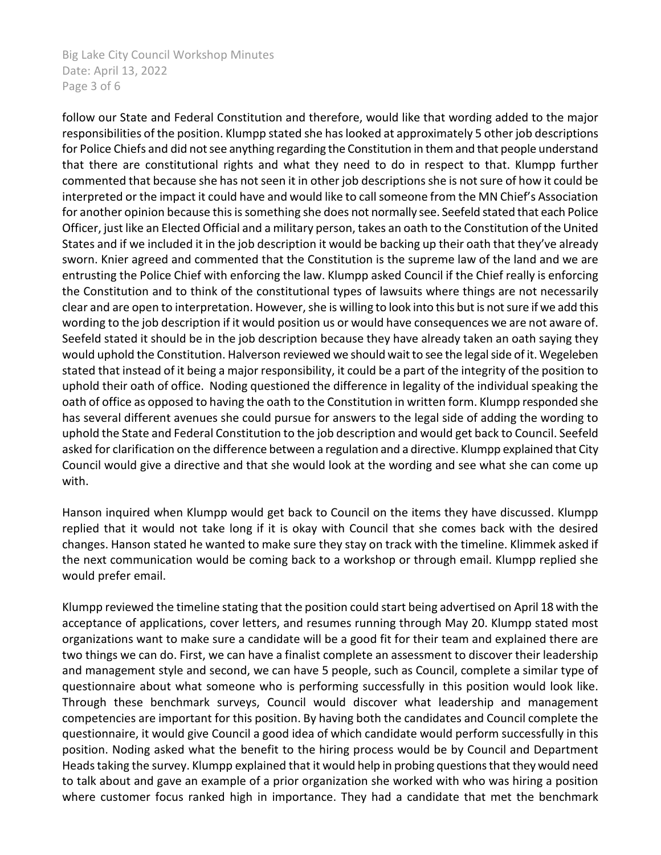Big Lake City Council Workshop Minutes Date: April 13, 2022 Page 3 of 6

follow our State and Federal Constitution and therefore, would like that wording added to the major responsibilities of the position. Klumpp stated she has looked at approximately 5 other job descriptions for Police Chiefs and did not see anything regarding the Constitution in them and that people understand that there are constitutional rights and what they need to do in respect to that. Klumpp further commented that because she has not seen it in other job descriptions she is not sure of how it could be interpreted or the impact it could have and would like to call someone from the MN Chief's Association for another opinion because this is something she does not normally see. Seefeld stated that each Police Officer, just like an Elected Official and a military person, takes an oath to the Constitution of the United States and if we included it in the job description it would be backing up their oath that they've already sworn. Knier agreed and commented that the Constitution is the supreme law of the land and we are entrusting the Police Chief with enforcing the law. Klumpp asked Council if the Chief really is enforcing the Constitution and to think of the constitutional types of lawsuits where things are not necessarily clear and are open to interpretation. However, she is willing to look into this but is not sure if we add this wording to the job description if it would position us or would have consequences we are not aware of. Seefeld stated it should be in the job description because they have already taken an oath saying they would uphold the Constitution. Halverson reviewed we should wait to see the legal side of it. Wegeleben stated that instead of it being a major responsibility, it could be a part of the integrity of the position to uphold their oath of office. Noding questioned the difference in legality of the individual speaking the oath of office as opposed to having the oath to the Constitution in written form. Klumpp responded she has several different avenues she could pursue for answers to the legal side of adding the wording to uphold the State and Federal Constitution to the job description and would get back to Council. Seefeld asked for clarification on the difference between a regulation and a directive. Klumpp explained that City Council would give a directive and that she would look at the wording and see what she can come up with.

Hanson inquired when Klumpp would get back to Council on the items they have discussed. Klumpp replied that it would not take long if it is okay with Council that she comes back with the desired changes. Hanson stated he wanted to make sure they stay on track with the timeline. Klimmek asked if the next communication would be coming back to a workshop or through email. Klumpp replied she would prefer email.

Klumpp reviewed the timeline stating that the position could start being advertised on April 18 with the acceptance of applications, cover letters, and resumes running through May 20. Klumpp stated most organizations want to make sure a candidate will be a good fit for their team and explained there are two things we can do. First, we can have a finalist complete an assessment to discover their leadership and management style and second, we can have 5 people, such as Council, complete a similar type of questionnaire about what someone who is performing successfully in this position would look like. Through these benchmark surveys, Council would discover what leadership and management competencies are important for this position. By having both the candidates and Council complete the questionnaire, it would give Council a good idea of which candidate would perform successfully in this position. Noding asked what the benefit to the hiring process would be by Council and Department Heads taking the survey. Klumpp explained that it would help in probing questions that they would need to talk about and gave an example of a prior organization she worked with who was hiring a position where customer focus ranked high in importance. They had a candidate that met the benchmark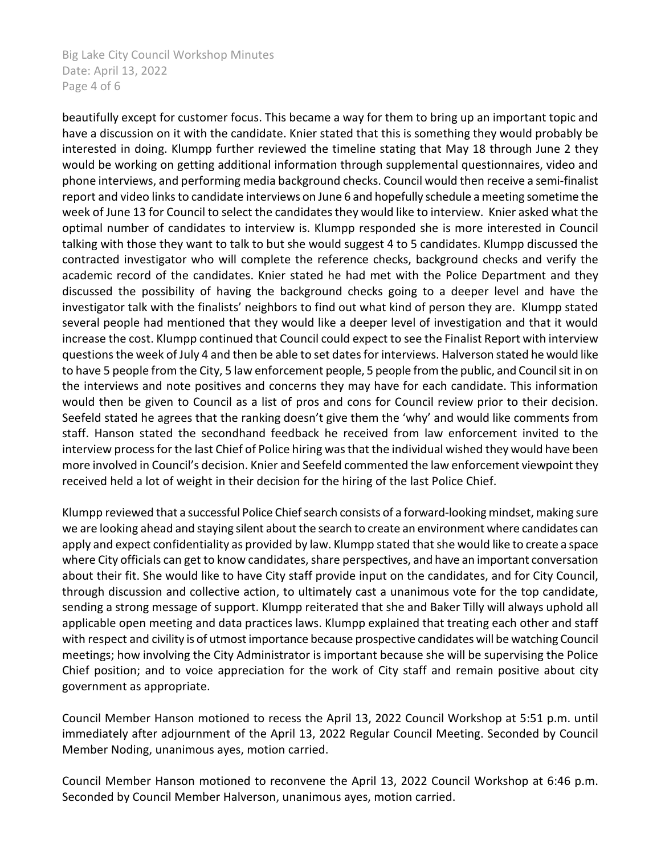Big Lake City Council Workshop Minutes Date: April 13, 2022 Page 4 of 6

beautifully except for customer focus. This became a way for them to bring up an important topic and have a discussion on it with the candidate. Knier stated that this is something they would probably be interested in doing. Klumpp further reviewed the timeline stating that May 18 through June 2 they would be working on getting additional information through supplemental questionnaires, video and phone interviews, and performing media background checks. Council would then receive a semi-finalist report and video links to candidate interviews on June 6 and hopefully schedule a meeting sometime the week of June 13 for Council to select the candidates they would like to interview. Knier asked what the optimal number of candidates to interview is. Klumpp responded she is more interested in Council talking with those they want to talk to but she would suggest 4 to 5 candidates. Klumpp discussed the contracted investigator who will complete the reference checks, background checks and verify the academic record of the candidates. Knier stated he had met with the Police Department and they discussed the possibility of having the background checks going to a deeper level and have the investigator talk with the finalists' neighbors to find out what kind of person they are. Klumpp stated several people had mentioned that they would like a deeper level of investigation and that it would increase the cost. Klumpp continued that Council could expect to see the Finalist Report with interview questions the week of July 4 and then be able to set dates for interviews. Halverson stated he would like to have 5 people from the City, 5 law enforcement people, 5 people from the public, and Council sit in on the interviews and note positives and concerns they may have for each candidate. This information would then be given to Council as a list of pros and cons for Council review prior to their decision. Seefeld stated he agrees that the ranking doesn't give them the 'why' and would like comments from staff. Hanson stated the secondhand feedback he received from law enforcement invited to the interview process for the last Chief of Police hiring was that the individual wished they would have been more involved in Council's decision. Knier and Seefeld commented the law enforcement viewpoint they received held a lot of weight in their decision for the hiring of the last Police Chief.

Klumpp reviewed that a successful Police Chief search consists of a forward-looking mindset, making sure we are looking ahead and staying silent about the search to create an environment where candidates can apply and expect confidentiality as provided by law. Klumpp stated that she would like to create a space where City officials can get to know candidates, share perspectives, and have an important conversation about their fit. She would like to have City staff provide input on the candidates, and for City Council, through discussion and collective action, to ultimately cast a unanimous vote for the top candidate, sending a strong message of support. Klumpp reiterated that she and Baker Tilly will always uphold all applicable open meeting and data practices laws. Klumpp explained that treating each other and staff with respect and civility is of utmost importance because prospective candidates will be watching Council meetings; how involving the City Administrator is important because she will be supervising the Police Chief position; and to voice appreciation for the work of City staff and remain positive about city government as appropriate.

Council Member Hanson motioned to recess the April 13, 2022 Council Workshop at 5:51 p.m. until immediately after adjournment of the April 13, 2022 Regular Council Meeting. Seconded by Council Member Noding, unanimous ayes, motion carried.

Council Member Hanson motioned to reconvene the April 13, 2022 Council Workshop at 6:46 p.m. Seconded by Council Member Halverson, unanimous ayes, motion carried.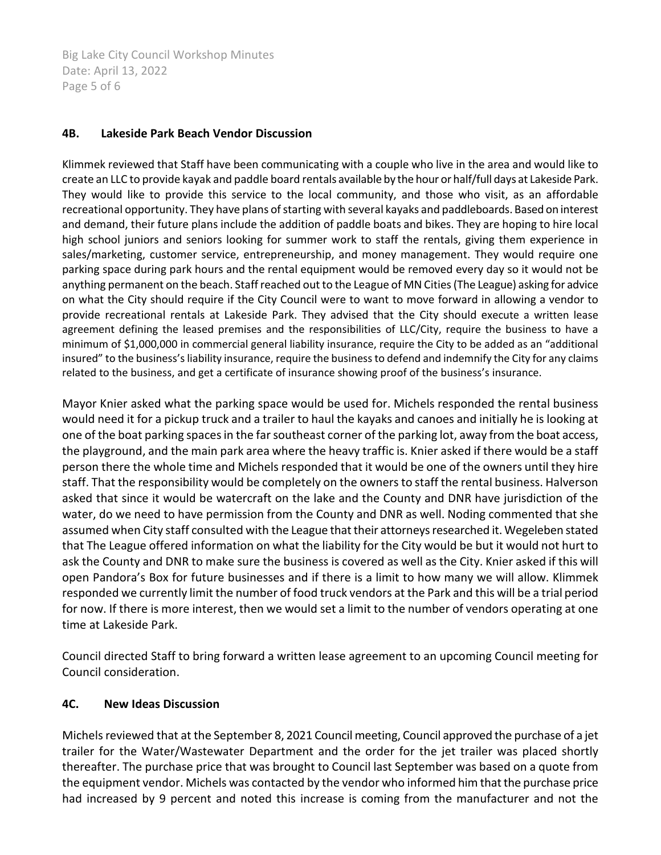Big Lake City Council Workshop Minutes Date: April 13, 2022 Page 5 of 6

#### **4B. Lakeside Park Beach Vendor Discussion**

Klimmek reviewed that Staff have been communicating with a couple who live in the area and would like to create an LLC to provide kayak and paddle board rentals available by the hour or half/full days at Lakeside Park. They would like to provide this service to the local community, and those who visit, as an affordable recreational opportunity. They have plans of starting with several kayaks and paddleboards. Based on interest and demand, their future plans include the addition of paddle boats and bikes. They are hoping to hire local high school juniors and seniors looking for summer work to staff the rentals, giving them experience in sales/marketing, customer service, entrepreneurship, and money management. They would require one parking space during park hours and the rental equipment would be removed every day so it would not be anything permanent on the beach. Staff reached out to the League of MN Cities (The League) asking for advice on what the City should require if the City Council were to want to move forward in allowing a vendor to provide recreational rentals at Lakeside Park. They advised that the City should execute a written lease agreement defining the leased premises and the responsibilities of LLC/City, require the business to have a minimum of \$1,000,000 in commercial general liability insurance, require the City to be added as an "additional insured" to the business's liability insurance, require the business to defend and indemnify the City for any claims related to the business, and get a certificate of insurance showing proof of the business's insurance.

Mayor Knier asked what the parking space would be used for. Michels responded the rental business would need it for a pickup truck and a trailer to haul the kayaks and canoes and initially he is looking at one of the boat parking spaces in the far southeast corner of the parking lot, away from the boat access, the playground, and the main park area where the heavy traffic is. Knier asked if there would be a staff person there the whole time and Michels responded that it would be one of the owners until they hire staff. That the responsibility would be completely on the owners to staff the rental business. Halverson asked that since it would be watercraft on the lake and the County and DNR have jurisdiction of the water, do we need to have permission from the County and DNR as well. Noding commented that she assumed when City staff consulted with the League that their attorneys researched it. Wegeleben stated that The League offered information on what the liability for the City would be but it would not hurt to ask the County and DNR to make sure the business is covered as well as the City. Knier asked if this will open Pandora's Box for future businesses and if there is a limit to how many we will allow. Klimmek responded we currently limit the number of food truck vendors at the Park and this will be a trial period for now. If there is more interest, then we would set a limit to the number of vendors operating at one time at Lakeside Park.

Council directed Staff to bring forward a written lease agreement to an upcoming Council meeting for Council consideration.

## **4C. New Ideas Discussion**

Michels reviewed that at the September 8, 2021 Council meeting, Council approved the purchase of a jet trailer for the Water/Wastewater Department and the order for the jet trailer was placed shortly thereafter. The purchase price that was brought to Council last September was based on a quote from the equipment vendor. Michels was contacted by the vendor who informed him that the purchase price had increased by 9 percent and noted this increase is coming from the manufacturer and not the